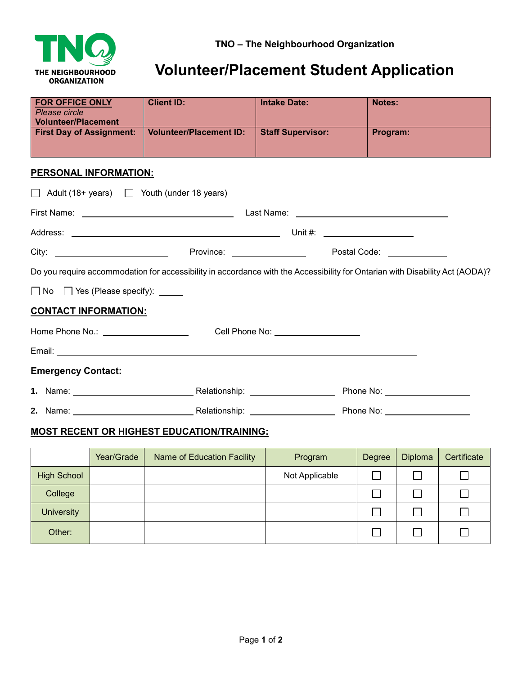

## **Volunteer/Placement Student Application**

| <b>FOR OFFICE ONLY</b><br>Please circle<br><b>Volunteer/Placement</b> | <b>Client ID:</b>              | <b>Intake Date:</b>                          | <b>Notes:</b>                                                                                                                |  |  |
|-----------------------------------------------------------------------|--------------------------------|----------------------------------------------|------------------------------------------------------------------------------------------------------------------------------|--|--|
| <b>First Day of Assignment:</b>                                       | <b>Volunteer/Placement ID:</b> | <b>Staff Supervisor:</b>                     | Program:                                                                                                                     |  |  |
| <b>PERSONAL INFORMATION:</b>                                          |                                |                                              |                                                                                                                              |  |  |
| $\Box$ Adult (18+ years) $\Box$ Youth (under 18 years)                |                                |                                              |                                                                                                                              |  |  |
|                                                                       |                                |                                              |                                                                                                                              |  |  |
|                                                                       |                                |                                              |                                                                                                                              |  |  |
|                                                                       |                                |                                              |                                                                                                                              |  |  |
|                                                                       |                                |                                              | Do you require accommodation for accessibility in accordance with the Accessibility for Ontarian with Disability Act (AODA)? |  |  |
| $\Box$ No $\Box$ Yes (Please specify): $\Box$                         |                                |                                              |                                                                                                                              |  |  |
| <b>CONTACT INFORMATION:</b>                                           |                                |                                              |                                                                                                                              |  |  |
|                                                                       |                                | Cell Phone No: <u>Call Andrew Cell Phone</u> |                                                                                                                              |  |  |
|                                                                       |                                |                                              |                                                                                                                              |  |  |
| <b>Emergency Contact:</b>                                             |                                |                                              |                                                                                                                              |  |  |
|                                                                       |                                |                                              |                                                                                                                              |  |  |
|                                                                       |                                |                                              |                                                                                                                              |  |  |
| MOST DECENT OD HIGHEST ENLICATION/TDAINING.                           |                                |                                              |                                                                                                                              |  |  |

## **MOST RECENT OR HIGHEST EDUCATION/TRAINING:**

|                    | Year/Grade | Name of Education Facility | Program        | Degree | <b>Diploma</b> | Certificate |
|--------------------|------------|----------------------------|----------------|--------|----------------|-------------|
| <b>High School</b> |            |                            | Not Applicable |        |                |             |
| College            |            |                            |                |        |                |             |
| <b>University</b>  |            |                            |                |        |                |             |
| Other:             |            |                            |                |        |                |             |